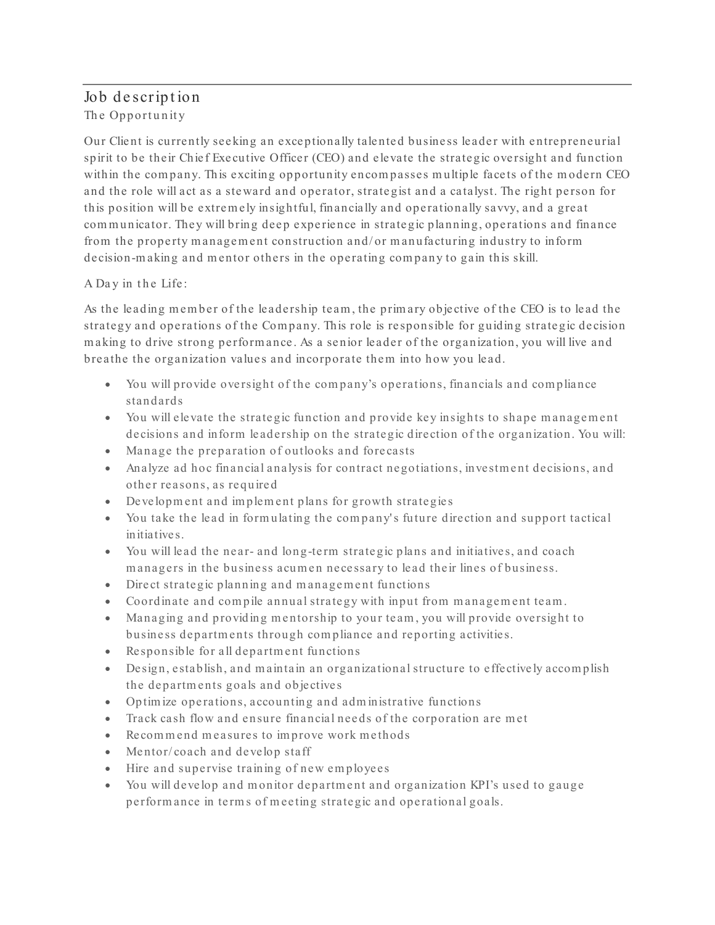## Job description The Opportunity

Our Client is currently seeking an exceptionally talented business leader with entrepreneurial spirit to be their Chief Executive Officer (CEO) and elevate the strategic oversight and function within the company. This exciting opportunity encompasses multiple facets of the modern CEO and the role will act as a steward and operator, strategist and a catalyst. The right person for this position will be extrem ely insightful, financially and operationally savvy, and a great communicator. They will bring deep experience in strategic planning, operations and finance from the property management construction and/ or manufacturing industry to inform decision-m aking and m entor others in the operating com pany to gain this skill.

## A Day in the Life:

As the leading member of the leadership team, the primary objective of the CEO is to lead the strategy and operations of the Com pany. This role is responsible for guiding strategic decision m aking to drive strong perform ance. As a senior leader of the organization, you will live and breathe the organization values and incorporate them into how you lead.

- You will provide oversight of the com pany's operations, financials and com pliance standards
- You will elevate the strategic function and provide key insights to shape management decisions and inform leadership on the strategic direction of the organization. You will:
- Manage the preparation of outlooks and forecasts
- Analyze ad hoc financial analysis for contract negotiations, investment decisions, and other reasons, as required
- Developm ent and im plem ent plans for growth strategies
- You take the lead in formulating the company's future direction and support tactical initiatives.
- You will lead the near- and long-term strategic plans and initiatives, and coach m anagers in the business acum en necessary to lead their lines of business.
- Direct strategic planning and m anagem ent functions
- Coordinate and compile annual strategy with input from management team.
- Managing and providing mentorship to your team, you will provide oversight to business departm ents through com pliance and reporting activities.
- Responsible for all departm ent functions
- Design, establish, and maintain an organizational structure to effectively accomplish the departm ents goals and objectives
- Optim ize operations, accounting and adm inistrative functions
- Track cash flow and ensure financial needs of the corporation are m et
- Recommend measures to improve work methods
- Mentor/ coach and develop staff
- Hire and supervise training of new em ploye es
- You will develop and monitor department and organization KPI's used to gauge perform ance in term s of m eeting strategic and operational goals.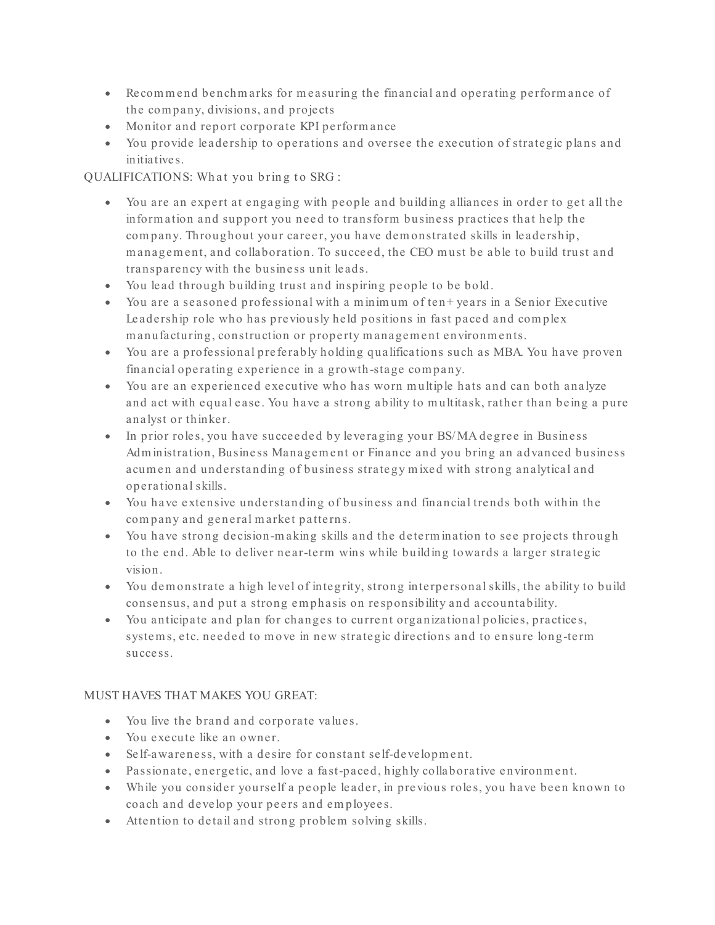- Recommend benchmarks for measuring the financial and operating performance of the com pany, divisions, and proje cts
- Monitor and report corporate KPI perform ance
- You provide leadership to operations and oversee the execution of strategic plans and initiatives.

QUALIFICATIONS: What you bring to SRG :

- You are an expert at engaging with people and building alliances in order to get all the inform ation and support you need to transform business practices that help the com pany. Throughout your career, you have dem onstrated skills in leadership, m anagem ent, and collaboration. To succeed, the CEO m ust be able to build trust and transparency with the business unit leads.
- You lead through building trust and inspiring people to be bold.
- You are a seasoned professional with a m inim um of ten+ years in a Senior Executive Leadership role who has previously held positions in fast paced and com plex manufacturing, construction or property management environments.
- You are a professional preferably holding qualifications such as MBA. You have proven financial operating experience in a growth-stage com pany.
- You are an experienced executive who has worn m ultiple hats and can both analyze and act with equal ease. You have a strong ability to multitask, rather than being a pure analyst or thinker.
- In prior roles, you have succeeded by leveraging your BS/MA degree in Business Adm inistration, Business Managem ent or Finance and you bring an advanced business acum en and understanding of business strategy m ixed with strong analytical and operational skills.
- You have extensive understanding of business and financial trends both within the com pany and general m arket patterns.
- You have strong decision-m aking skills and the determ ination to see projects through to the end. Able to deliver near-term wins while building towards a larger strategic vision.
- You dem onstrate a high level of integrity, strong interpersonal skills, the ability to build consensus, and put a strong em phasis on responsibility and accountability.
- You anticipate and plan for changes to current organizational policies, practices, system s, etc. needed to m ove in new strategic directions and to ensure long-term success.

## MUST HAVES THAT MAKES YOU GREAT:

- You live the brand and corporate values.
- You execute like an owner.
- Self-awareness, with a desire for constant self-development.
- Passionate, energetic, and love a fast-paced, highly collaborative environm ent.
- While you consider yourself a people leader, in previous roles, you have been known to coach and develop your peers and em ployees.
- Attention to detail and strong problem solving skills.